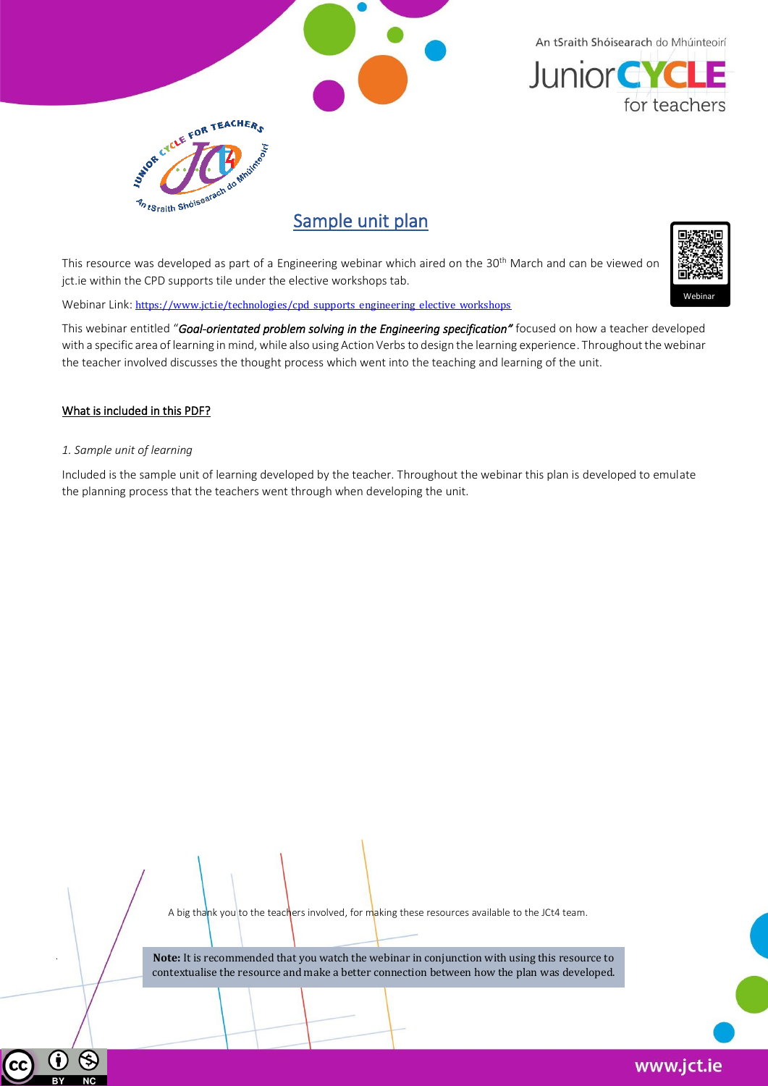

An tSraith Shóisearach do Mhúinteoirí **Junior CYCLE** for teachers



## Sample unit plan

This resource was developed as part of a Engineering webinar which aired on the 30<sup>th</sup> March and can be viewed on jct.ie within the CPD supports tile under the elective workshops tab.

This webinar entitled "*Goal-orientated problem solving in the Engineering specification"* focused on how a teacher developed with a specific area of learning in mind, while also using Action Verbs to design the learning experience. Throughout the webinar the teacher involved discusses the thought process which went into the teaching and learning of the unit.

## What is included in this PDF?

## *1. Sample unit of learning*

Included is the sample unit of learning developed by the teacher. Throughout the webinar this plan is developed to emulate the planning process that the teachers went through when developing the unit.

A big thank you to the teachers involved, for making these resources available to the JCt4 team.

.

Ť

 $\circledS$ 



Webinar Link: [https://www.jct.ie/technologies/cpd\\_supports\\_engineering\\_elective\\_workshops](https://www.jct.ie/technologies/cpd_supports_engineering_elective_workshops)

**Note:** It is recommended that you watch the webinar in conjunction with using this resource to contextualise the resource and make a better connection between how the plan was developed.